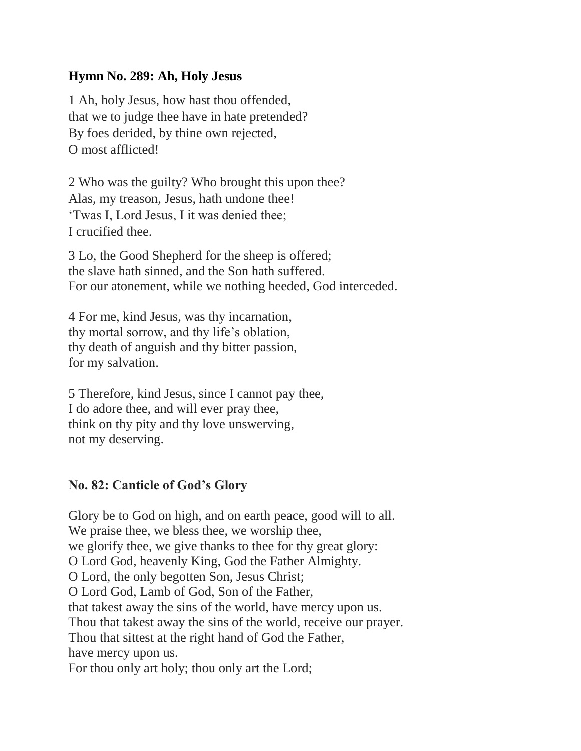## **Hymn No. 289: Ah, Holy Jesus**

1 Ah, holy Jesus, how hast thou offended, that we to judge thee have in hate pretended? By foes derided, by thine own rejected, O most afflicted!

2 Who was the guilty? Who brought this upon thee? Alas, my treason, Jesus, hath undone thee! 'Twas I, Lord Jesus, I it was denied thee; I crucified thee.

3 Lo, the Good Shepherd for the sheep is offered; the slave hath sinned, and the Son hath suffered. For our atonement, while we nothing heeded, God interceded.

4 For me, kind Jesus, was thy incarnation, thy mortal sorrow, and thy life's oblation, thy death of anguish and thy bitter passion, for my salvation.

5 Therefore, kind Jesus, since I cannot pay thee, I do adore thee, and will ever pray thee, think on thy pity and thy love unswerving, not my deserving.

## **No. 82: Canticle of God's Glory**

Glory be to God on high, and on earth peace, good will to all. We praise thee, we bless thee, we worship thee, we glorify thee, we give thanks to thee for thy great glory: O Lord God, heavenly King, God the Father Almighty. O Lord, the only begotten Son, Jesus Christ; O Lord God, Lamb of God, Son of the Father, that takest away the sins of the world, have mercy upon us. Thou that takest away the sins of the world, receive our prayer. Thou that sittest at the right hand of God the Father, have mercy upon us. For thou only art holy; thou only art the Lord;